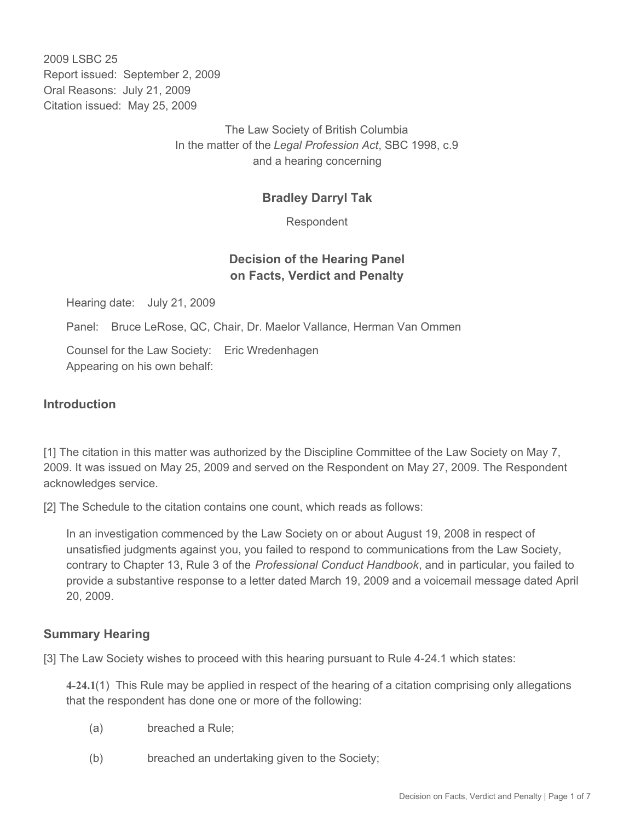2009 LSBC 25 Report issued: September 2, 2009 Oral Reasons: July 21, 2009 Citation issued: May 25, 2009

> The Law Society of British Columbia In the matter of the *Legal Profession Act*, SBC 1998, c.9 and a hearing concerning

## **Bradley Darryl Tak**

Respondent

## **Decision of the Hearing Panel on Facts, Verdict and Penalty**

Hearing date: July 21, 2009

Panel: Bruce LeRose, QC, Chair, Dr. Maelor Vallance, Herman Van Ommen

Counsel for the Law Society: Eric Wredenhagen Appearing on his own behalf:

### **Introduction**

[1] The citation in this matter was authorized by the Discipline Committee of the Law Society on May 7, 2009. It was issued on May 25, 2009 and served on the Respondent on May 27, 2009. The Respondent acknowledges service.

[2] The Schedule to the citation contains one count, which reads as follows:

In an investigation commenced by the Law Society on or about August 19, 2008 in respect of unsatisfied judgments against you, you failed to respond to communications from the Law Society, contrary to Chapter 13, Rule 3 of the *Professional Conduct Handbook*, and in particular, you failed to provide a substantive response to a letter dated March 19, 2009 and a voicemail message dated April 20, 2009.

### **Summary Hearing**

[3] The Law Society wishes to proceed with this hearing pursuant to Rule 4-24.1 which states:

**4-24.1**(1) This Rule may be applied in respect of the hearing of a citation comprising only allegations that the respondent has done one or more of the following:

- (a) breached a Rule;
- (b) breached an undertaking given to the Society;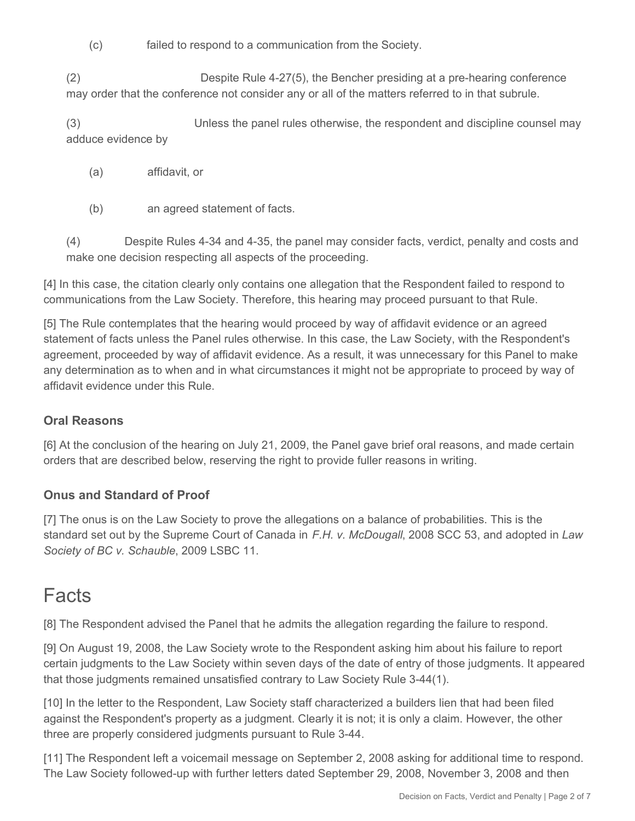(c) failed to respond to a communication from the Society.

(2) Despite Rule 4-27(5), the Bencher presiding at a pre-hearing conference may order that the conference not consider any or all of the matters referred to in that subrule.

(3) Unless the panel rules otherwise, the respondent and discipline counsel may adduce evidence by

- (a) affidavit, or
- (b) an agreed statement of facts.

(4) Despite Rules 4-34 and 4-35, the panel may consider facts, verdict, penalty and costs and make one decision respecting all aspects of the proceeding.

[4] In this case, the citation clearly only contains one allegation that the Respondent failed to respond to communications from the Law Society. Therefore, this hearing may proceed pursuant to that Rule.

[5] The Rule contemplates that the hearing would proceed by way of affidavit evidence or an agreed statement of facts unless the Panel rules otherwise. In this case, the Law Society, with the Respondent's agreement, proceeded by way of affidavit evidence. As a result, it was unnecessary for this Panel to make any determination as to when and in what circumstances it might not be appropriate to proceed by way of affidavit evidence under this Rule.

## **Oral Reasons**

[6] At the conclusion of the hearing on July 21, 2009, the Panel gave brief oral reasons, and made certain orders that are described below, reserving the right to provide fuller reasons in writing.

## **Onus and Standard of Proof**

[7] The onus is on the Law Society to prove the allegations on a balance of probabilities. This is the standard set out by the Supreme Court of Canada in *F.H. v. McDougall*, 2008 SCC 53, and adopted in *Law Society of BC v. Schauble*, 2009 LSBC 11.

# Facts

[8] The Respondent advised the Panel that he admits the allegation regarding the failure to respond.

[9] On August 19, 2008, the Law Society wrote to the Respondent asking him about his failure to report certain judgments to the Law Society within seven days of the date of entry of those judgments. It appeared that those judgments remained unsatisfied contrary to Law Society Rule 3-44(1).

[10] In the letter to the Respondent, Law Society staff characterized a builders lien that had been filed against the Respondent's property as a judgment. Clearly it is not; it is only a claim. However, the other three are properly considered judgments pursuant to Rule 3-44.

[11] The Respondent left a voicemail message on September 2, 2008 asking for additional time to respond. The Law Society followed-up with further letters dated September 29, 2008, November 3, 2008 and then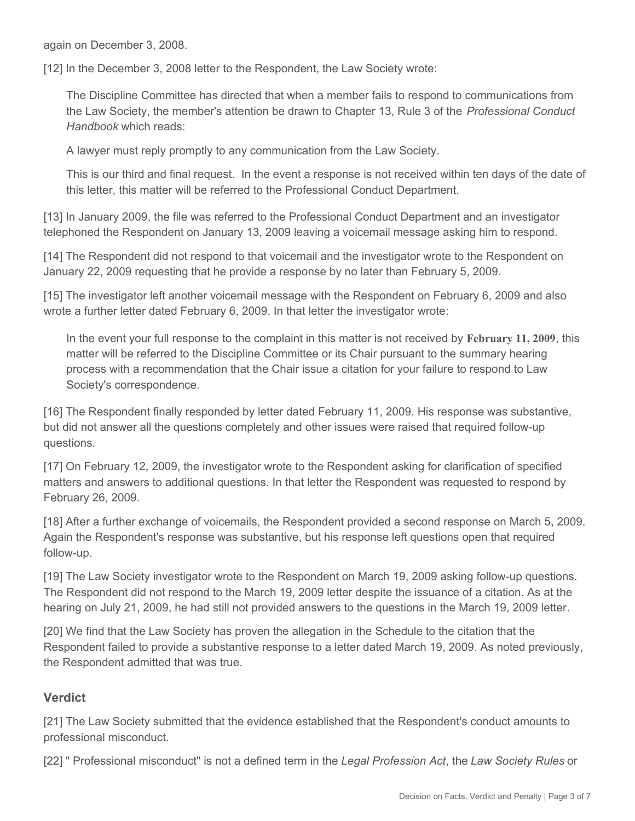again on December 3, 2008.

[12] In the December 3, 2008 letter to the Respondent, the Law Society wrote:

The Discipline Committee has directed that when a member fails to respond to communications from the Law Society, the member's attention be drawn to Chapter 13, Rule 3 of the *Professional Conduct Handbook* which reads:

A lawyer must reply promptly to any communication from the Law Society.

This is our third and final request. In the event a response is not received within ten days of the date of this letter, this matter will be referred to the Professional Conduct Department.

[13] In January 2009, the file was referred to the Professional Conduct Department and an investigator telephoned the Respondent on January 13, 2009 leaving a voicemail message asking him to respond.

[14] The Respondent did not respond to that voicemail and the investigator wrote to the Respondent on January 22, 2009 requesting that he provide a response by no later than February 5, 2009.

[15] The investigator left another voicemail message with the Respondent on February 6, 2009 and also wrote a further letter dated February 6, 2009. In that letter the investigator wrote:

In the event your full response to the complaint in this matter is not received by **February 11, 2009**, this matter will be referred to the Discipline Committee or its Chair pursuant to the summary hearing process with a recommendation that the Chair issue a citation for your failure to respond to Law Society's correspondence.

[16] The Respondent finally responded by letter dated February 11, 2009. His response was substantive, but did not answer all the questions completely and other issues were raised that required follow-up questions.

[17] On February 12, 2009, the investigator wrote to the Respondent asking for clarification of specified matters and answers to additional questions. In that letter the Respondent was requested to respond by February 26, 2009.

[18] After a further exchange of voicemails, the Respondent provided a second response on March 5, 2009. Again the Respondent's response was substantive, but his response left questions open that required follow-up.

[19] The Law Society investigator wrote to the Respondent on March 19, 2009 asking follow-up questions. The Respondent did not respond to the March 19, 2009 letter despite the issuance of a citation. As at the hearing on July 21, 2009, he had still not provided answers to the questions in the March 19, 2009 letter.

[20] We find that the Law Society has proven the allegation in the Schedule to the citation that the Respondent failed to provide a substantive response to a letter dated March 19, 2009. As noted previously, the Respondent admitted that was true.

## **Verdict**

[21] The Law Society submitted that the evidence established that the Respondent's conduct amounts to professional misconduct.

[22] " Professional misconduct" is not a defined term in the *Legal Profession Act*, the *Law Society Rules* or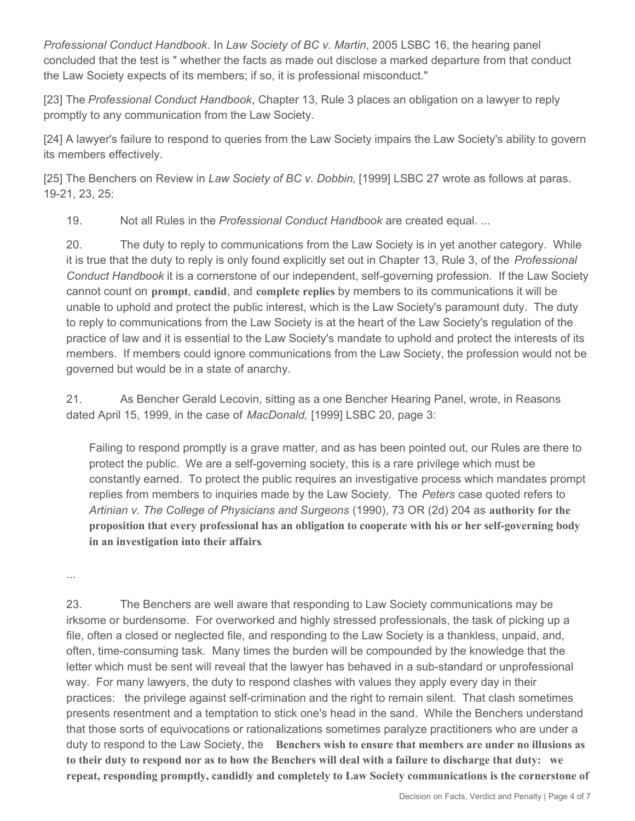*Professional Conduct Handbook*. In *Law Society of BC v. Martin*, 2005 LSBC 16, the hearing panel concluded that the test is " whether the facts as made out disclose a marked departure from that conduct the Law Society expects of its members; if so, it is professional misconduct."

[23] The *Professional Conduct Handbook*, Chapter 13, Rule 3 places an obligation on a lawyer to reply promptly to any communication from the Law Society.

[24] A lawyer's failure to respond to queries from the Law Society impairs the Law Society's ability to govern its members effectively.

[25] The Benchers on Review in *Law Society of BC v. Dobbin*, [1999] LSBC 27 wrote as follows at paras. 19-21, 23, 25:

19. Not all Rules in the *Professional Conduct Handbook* are created equal. ...

20. The duty to reply to communications from the Law Society is in yet another category. While it is true that the duty to reply is only found explicitly set out in Chapter 13, Rule 3, of the *Professional Conduct Handbook* it is a cornerstone of our independent, self-governing profession. If the Law Society cannot count on **prompt**, **candid**, and **complete replies** by members to its communications it will be unable to uphold and protect the public interest, which is the Law Society's paramount duty. The duty to reply to communications from the Law Society is at the heart of the Law Society's regulation of the practice of law and it is essential to the Law Society's mandate to uphold and protect the interests of its members. If members could ignore communications from the Law Society, the profession would not be governed but would be in a state of anarchy.

21. As Bencher Gerald Lecovin, sitting as a one Bencher Hearing Panel, wrote, in Reasons dated April 15, 1999, in the case of *MacDonald,* [1999] LSBC 20, page 3:

Failing to respond promptly is a grave matter, and as has been pointed out, our Rules are there to protect the public. We are a self-governing society, this is a rare privilege which must be constantly earned. To protect the public requires an investigative process which mandates prompt replies from members to inquiries made by the Law Society. The *Peters* case quoted refers to *Artinian v. The College of Physicians and Surgeons* (1990), 73 OR (2d) 204 as **authority for the proposition that every professional has an obligation to cooperate with his or her self-governing body in an investigation into their affairs**.

...

23. The Benchers are well aware that responding to Law Society communications may be irksome or burdensome. For overworked and highly stressed professionals, the task of picking up a file, often a closed or neglected file, and responding to the Law Society is a thankless, unpaid, and, often, time-consuming task. Many times the burden will be compounded by the knowledge that the letter which must be sent will reveal that the lawyer has behaved in a sub-standard or unprofessional way. For many lawyers, the duty to respond clashes with values they apply every day in their practices: the privilege against self-crimination and the right to remain silent. That clash sometimes presents resentment and a temptation to stick one's head in the sand. While the Benchers understand that those sorts of equivocations or rationalizations sometimes paralyze practitioners who are under a duty to respond to the Law Society, the **Benchers wish to ensure that members are under no illusions as to their duty to respond nor as to how the Benchers will deal with a failure to discharge that duty: we repeat, responding promptly, candidly and completely to Law Society communications is the cornerstone of**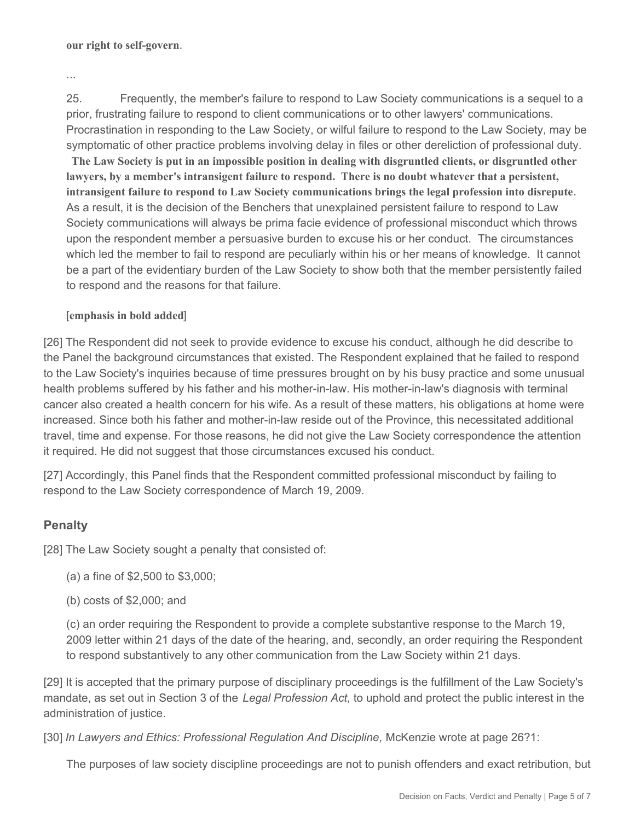**our right to self-govern**.

...

25. Frequently, the member's failure to respond to Law Society communications is a sequel to a prior, frustrating failure to respond to client communications or to other lawyers' communications. Procrastination in responding to the Law Society, or wilful failure to respond to the Law Society, may be symptomatic of other practice problems involving delay in files or other dereliction of professional duty.

**The Law Society is put in an impossible position in dealing with disgruntled clients, or disgruntled other lawyers, by a member's intransigent failure to respond. There is no doubt whatever that a persistent, intransigent failure to respond to Law Society communications brings the legal profession into disrepute**. As a result, it is the decision of the Benchers that unexplained persistent failure to respond to Law Society communications will always be prima facie evidence of professional misconduct which throws upon the respondent member a persuasive burden to excuse his or her conduct. The circumstances which led the member to fail to respond are peculiarly within his or her means of knowledge. It cannot be a part of the evidentiary burden of the Law Society to show both that the member persistently failed to respond and the reasons for that failure.

### [**emphasis in bold added**]

[26] The Respondent did not seek to provide evidence to excuse his conduct, although he did describe to the Panel the background circumstances that existed. The Respondent explained that he failed to respond to the Law Society's inquiries because of time pressures brought on by his busy practice and some unusual health problems suffered by his father and his mother-in-law. His mother-in-law's diagnosis with terminal cancer also created a health concern for his wife. As a result of these matters, his obligations at home were increased. Since both his father and mother-in-law reside out of the Province, this necessitated additional travel, time and expense. For those reasons, he did not give the Law Society correspondence the attention it required. He did not suggest that those circumstances excused his conduct.

[27] Accordingly, this Panel finds that the Respondent committed professional misconduct by failing to respond to the Law Society correspondence of March 19, 2009.

## **Penalty**

[28] The Law Society sought a penalty that consisted of:

- (a) a fine of \$2,500 to \$3,000;
- (b) costs of \$2,000; and

(c) an order requiring the Respondent to provide a complete substantive response to the March 19, 2009 letter within 21 days of the date of the hearing, and, secondly, an order requiring the Respondent to respond substantively to any other communication from the Law Society within 21 days.

[29] It is accepted that the primary purpose of disciplinary proceedings is the fulfillment of the Law Society's mandate, as set out in Section 3 of the *Legal Profession Act,* to uphold and protect the public interest in the administration of justice.

[30] *In Lawyers and Ethics: Professional Regulation And Discipline,* McKenzie wrote at page 26?1:

The purposes of law society discipline proceedings are not to punish offenders and exact retribution, but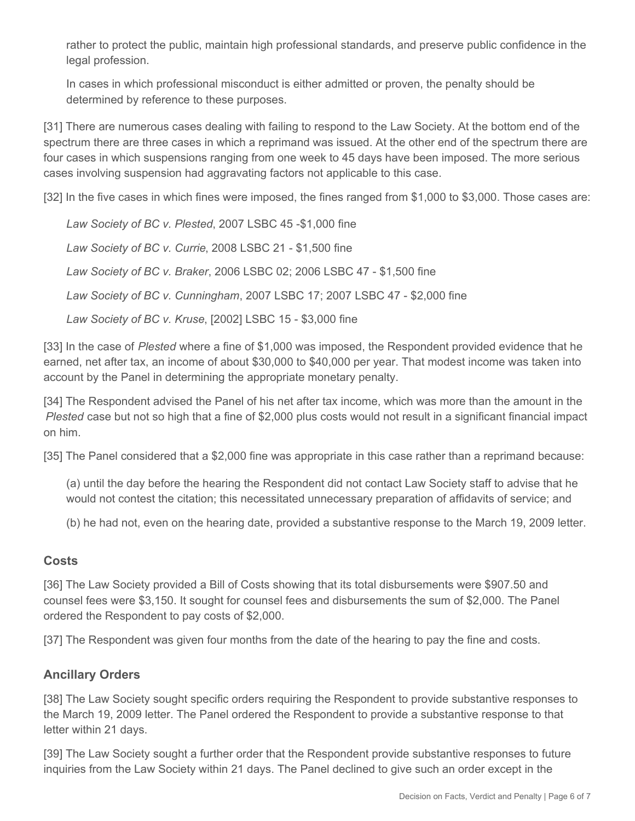rather to protect the public, maintain high professional standards, and preserve public confidence in the legal profession.

In cases in which professional misconduct is either admitted or proven, the penalty should be determined by reference to these purposes.

[31] There are numerous cases dealing with failing to respond to the Law Society. At the bottom end of the spectrum there are three cases in which a reprimand was issued. At the other end of the spectrum there are four cases in which suspensions ranging from one week to 45 days have been imposed. The more serious cases involving suspension had aggravating factors not applicable to this case.

[32] In the five cases in which fines were imposed, the fines ranged from \$1,000 to \$3,000. Those cases are:

*Law Society of BC v. Plested*, 2007 LSBC 45 -\$1,000 fine

*Law Society of BC v. Currie*, 2008 LSBC 21 - \$1,500 fine

*Law Society of BC v. Braker*, 2006 LSBC 02; 2006 LSBC 47 - \$1,500 fine

*Law Society of BC v. Cunningham*, 2007 LSBC 17; 2007 LSBC 47 - \$2,000 fine

*Law Society of BC v. Kruse*, [2002] LSBC 15 - \$3,000 fine

[33] In the case of *Plested* where a fine of \$1,000 was imposed, the Respondent provided evidence that he earned, net after tax, an income of about \$30,000 to \$40,000 per year. That modest income was taken into account by the Panel in determining the appropriate monetary penalty.

[34] The Respondent advised the Panel of his net after tax income, which was more than the amount in the *Plested* case but not so high that a fine of \$2,000 plus costs would not result in a significant financial impact on him.

[35] The Panel considered that a \$2,000 fine was appropriate in this case rather than a reprimand because:

(a) until the day before the hearing the Respondent did not contact Law Society staff to advise that he would not contest the citation; this necessitated unnecessary preparation of affidavits of service; and

(b) he had not, even on the hearing date, provided a substantive response to the March 19, 2009 letter.

### **Costs**

[36] The Law Society provided a Bill of Costs showing that its total disbursements were \$907.50 and counsel fees were \$3,150. It sought for counsel fees and disbursements the sum of \$2,000. The Panel ordered the Respondent to pay costs of \$2,000.

[37] The Respondent was given four months from the date of the hearing to pay the fine and costs.

### **Ancillary Orders**

[38] The Law Society sought specific orders requiring the Respondent to provide substantive responses to the March 19, 2009 letter. The Panel ordered the Respondent to provide a substantive response to that letter within 21 days.

[39] The Law Society sought a further order that the Respondent provide substantive responses to future inquiries from the Law Society within 21 days. The Panel declined to give such an order except in the